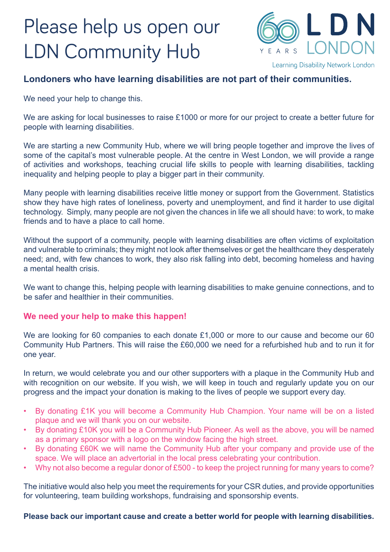# Please help us open our LDN Community Hub



## **Londoners who have learning disabilities are not part of their communities.**

We need your help to change this.

We are asking for local businesses to raise £1000 or more for our project to create a better future for people with learning disabilities.

We are starting a new Community Hub, where we will bring people together and improve the lives of some of the capital's most vulnerable people. At the centre in West London, we will provide a range of activities and workshops, teaching crucial life skills to people with learning disabilities, tackling inequality and helping people to play a bigger part in their community.

Many people with learning disabilities receive little money or support from the Government. Statistics show they have high rates of loneliness, poverty and unemployment, and find it harder to use digital technology. Simply, many people are not given the chances in life we all should have: to work, to make friends and to have a place to call home.

Without the support of a community, people with learning disabilities are often victims of exploitation and vulnerable to criminals; they might not look after themselves or get the healthcare they desperately need; and, with few chances to work, they also risk falling into debt, becoming homeless and having a mental health crisis.

We want to change this, helping people with learning disabilities to make genuine connections, and to be safer and healthier in their communities.

#### **We need your help to make this happen!**

We are looking for 60 companies to each donate £1,000 or more to our cause and become our 60 Community Hub Partners. This will raise the £60,000 we need for a refurbished hub and to run it for one year.

In return, we would celebrate you and our other supporters with a plaque in the Community Hub and with recognition on our website. If you wish, we will keep in touch and regularly update you on our progress and the impact your donation is making to the lives of people we support every day.

- By donating £1K you will become a Community Hub Champion. Your name will be on a listed plaque and we will thank you on our website.
- By donating £10K you will be a Community Hub Pioneer. As well as the above, you will be named as a primary sponsor with a logo on the window facing the high street.
- By donating £60K we will name the Community Hub after your company and provide use of the space. We will place an advertorial in the local press celebrating your contribution.
- Why not also become a regular donor of £500 to keep the project running for many years to come?

The initiative would also help you meet the requirements for your CSR duties, and provide opportunities for volunteering, team building workshops, fundraising and sponsorship events.

**Please back our important cause and create a better world for people with learning disabilities.**